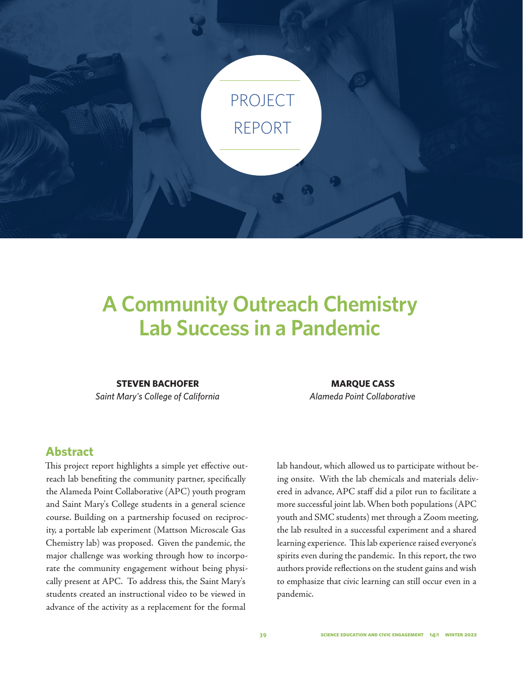

# **A Community Outreach Chemistry Lab Success in a Pandemic**

#### **STEVEN BACHOFER**

*Saint Mary's College of California*

## **Abstract**

This project report highlights a simple yet effective outreach lab benefiting the community partner, specifically the Alameda Point Collaborative (APC) youth program and Saint Mary's College students in a general science course. Building on a partnership focused on reciprocity, a portable lab experiment (Mattson Microscale Gas Chemistry lab) was proposed. Given the pandemic, the major challenge was working through how to incorporate the community engagement without being physically present at APC. To address this, the Saint Mary's students created an instructional video to be viewed in advance of the activity as a replacement for the formal

#### **MARQUE CASS**

*Alameda Point Collaborative*

lab handout, which allowed us to participate without being onsite. With the lab chemicals and materials delivered in advance, APC staff did a pilot run to facilitate a more successful joint lab. When both populations (APC youth and SMC students) met through a Zoom meeting, the lab resulted in a successful experiment and a shared learning experience. This lab experience raised everyone's spirits even during the pandemic. In this report, the two authors provide reflections on the student gains and wish to emphasize that civic learning can still occur even in a pandemic.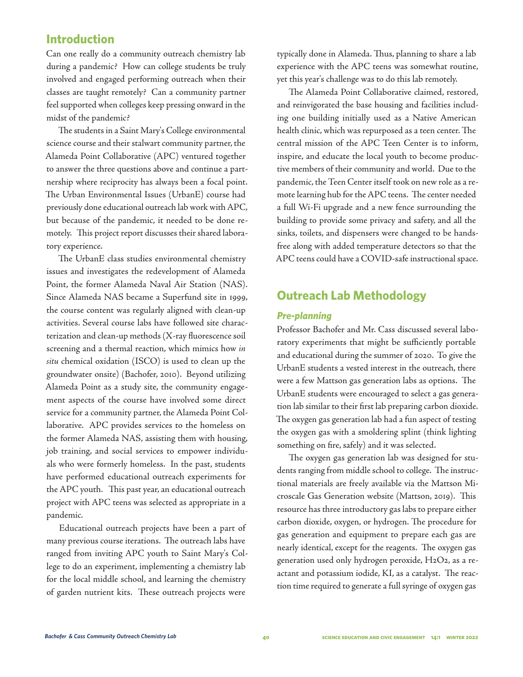## **Introduction**

Can one really do a community outreach chemistry lab during a pandemic? How can college students be truly involved and engaged performing outreach when their classes are taught remotely? Can a community partner feel supported when colleges keep pressing onward in the midst of the pandemic?

The students in a Saint Mary's College environmental science course and their stalwart community partner, the Alameda Point Collaborative (APC) ventured together to answer the three questions above and continue a partnership where reciprocity has always been a focal point. The Urban Environmental Issues (UrbanE) course had previously done educational outreach lab work with APC, but because of the pandemic, it needed to be done remotely. This project report discusses their shared laboratory experience.

The UrbanE class studies environmental chemistry issues and investigates the redevelopment of Alameda Point, the former Alameda Naval Air Station (NAS). Since Alameda NAS became a Superfund site in 1999, the course content was regularly aligned with clean-up activities. Several course labs have followed site characterization and clean-up methods (X-ray fluorescence soil screening and a thermal reaction, which mimics how *in situ* chemical oxidation (ISCO) is used to clean up the groundwater onsite) (Bachofer, 2010). Beyond utilizing Alameda Point as a study site, the community engagement aspects of the course have involved some direct service for a community partner, the Alameda Point Collaborative. APC provides services to the homeless on the former Alameda NAS, assisting them with housing, job training, and social services to empower individuals who were formerly homeless. In the past, students have performed educational outreach experiments for the APC youth. This past year, an educational outreach project with APC teens was selected as appropriate in a pandemic.

Educational outreach projects have been a part of many previous course iterations. The outreach labs have ranged from inviting APC youth to Saint Mary's College to do an experiment, implementing a chemistry lab for the local middle school, and learning the chemistry of garden nutrient kits. These outreach projects were

typically done in Alameda. Thus, planning to share a lab experience with the APC teens was somewhat routine, yet this year's challenge was to do this lab remotely.

The Alameda Point Collaborative claimed, restored, and reinvigorated the base housing and facilities including one building initially used as a Native American health clinic, which was repurposed as a teen center. The central mission of the APC Teen Center is to inform, inspire, and educate the local youth to become productive members of their community and world. Due to the pandemic, the Teen Center itself took on new role as a remote learning hub for the APC teens. The center needed a full Wi-Fi upgrade and a new fence surrounding the building to provide some privacy and safety, and all the sinks, toilets, and dispensers were changed to be handsfree along with added temperature detectors so that the APC teens could have a COVID-safe instructional space.

## **Outreach Lab Methodology**

#### *Pre-planning*

Professor Bachofer and Mr. Cass discussed several laboratory experiments that might be sufficiently portable and educational during the summer of 2020. To give the UrbanE students a vested interest in the outreach, there were a few Mattson gas generation labs as options. The UrbanE students were encouraged to select a gas generation lab similar to their first lab preparing carbon dioxide. The oxygen gas generation lab had a fun aspect of testing the oxygen gas with a smoldering splint (think lighting something on fire, safely) and it was selected.

The oxygen gas generation lab was designed for students ranging from middle school to college. The instructional materials are freely available via the Mattson Microscale Gas Generation website (Mattson, 2019). This resource has three introductory gas labs to prepare either carbon dioxide, oxygen, or hydrogen. The procedure for gas generation and equipment to prepare each gas are nearly identical, except for the reagents. The oxygen gas generation used only hydrogen peroxide, H2O2, as a reactant and potassium iodide, KI, as a catalyst. The reaction time required to generate a full syringe of oxygen gas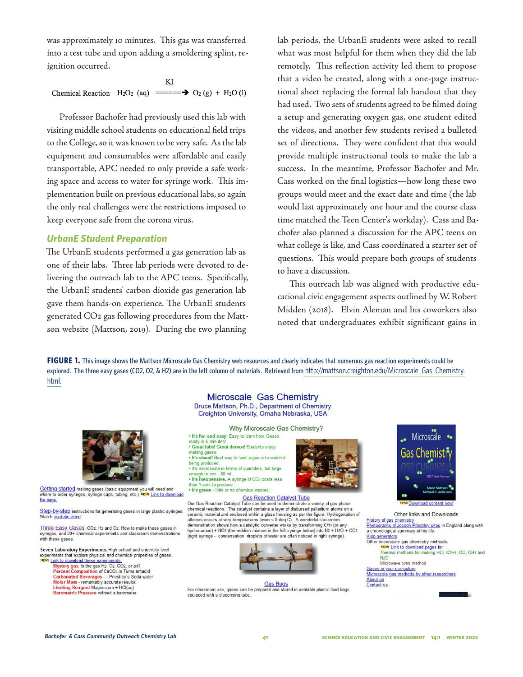was approximately 10 minutes. This gas was transferred into a test tube and upon adding a smoldering splint, reignition occurred.

KI Chemical Reaction  $H_2O_2$  (aq) ======  $\rightarrow O_2$  (g) + H<sub>2</sub>O (l)

Professor Bachofer had previously used this lab with visiting middle school students on educational field trips to the College, so it was known to be very safe. As the lab equipment and consumables were affordable and easily transportable, APC needed to only provide a safe working space and access to water for syringe work. This implementation built on previous educational labs, so again the only real challenges were the restrictions imposed to keep everyone safe from the corona virus.

#### *UrbanE Student Preparation*

The UrbanE students performed a gas generation lab as one of their labs. Three lab periods were devoted to delivering the outreach lab to the APC teens. Specifically, the UrbanE students' carbon dioxide gas generation lab gave them hands-on experience. The UrbanE students generated CO2 gas following procedures from the Mattson website (Mattson, 2019). During the two planning

lab periods, the UrbanE students were asked to recall what was most helpful for them when they did the lab remotely. This reflection activity led them to propose that a video be created, along with a one-page instructional sheet replacing the formal lab handout that they had used. Two sets of students agreed to be filmed doing a setup and generating oxygen gas, one student edited the videos, and another few students revised a bulleted set of directions. They were confident that this would provide multiple instructional tools to make the lab a success. In the meantime, Professor Bachofer and Mr. Cass worked on the final logistics—how long these two groups would meet and the exact date and time (the lab would last approximately one hour and the course class time matched the Teen Center's workday). Cass and Bachofer also planned a discussion for the APC teens on what college is like, and Cass coordinated a starter set of questions. This would prepare both groups of students to have a discussion.

This outreach lab was aligned with productive educational civic engagement aspects outlined by W. Robert Midden (2018). Elvin Aleman and his coworkers also noted that undergraduates exhibit significant gains in

**FIGURE 1.** This image shows the Mattson Microscale Gas Chemistry web resources and clearly indicates that numerous gas reaction experiments could be explored. The three easy gases (CO2, O2, & H2) are in the left column of materials. Retrieved from http://mattson.creighton.edu/Microscale\_Gas\_Chemistry. html.



Getting started making gases (basic equipment you will need and where to order syringes, syringe caps, tubing, etc.) NEW! Link to download file page.

Step-by-step instructions for generating gases in large plastic syringes.<br>Watch youtube video!

Three Easy Gases. CO2, H2 and O2. How to make these gases in syringes, and 20+ chemical experiments and classroom demonstrations with these gases.

Seven Laboratory Experiments, High school and university level experiments that explore physical and chemical properties of gases<br>NEWI Link to download these experiments.

- Mystery gas. Is the gas H2, O2, CO2, or air?<br>Percent Composition of CaCO3 in Tums antacid Carbonated Beverages - Priestley's Soda-water Molar Mass - remarkably accurate results!<br>Limiting Reagent Magnesium + HCl(aq)
- Barometric Pressure without a barometer

Microscale Gas Chemistry Bruce Mattson, Ph.D., Department of Chemistry Creighton University, Omaha Nebraska, USA

Why Microscale Gas Chemistry? . It's fun and easy! Easy to learn how. Gases

ready in 5 minutes · Great labs! Great demos! Students enjoy making gases . It's visual! Best way to 'see' a gas is to watch it

being produced . It's microscale in terms of quantities, but large enough to see - 60 mL.<br>• It's inexpensive. A syringe of CO2 costs less

• it's inexpensive. A symple of CO2 cost<br>than 1 cent to produce.<br>• It's green - little or no chemical wastes.



Gas Reaction Catalyst Tube<br>Our Gas Reaction Catalyst Tube can be used to demonstrate a variety of gas phase<br>chemical reactions. The catalyst contains a layer of disbursed palladium atoms on a ceramic material and enclosed within a glass housing as per the figure. Hydrogenation of alkenes occurs at very temperatures (even  $<$  0 deg C). A wonderful classroom demonstration shows how a catalytic converter works by transforming CH4 (or any hydrocarbon) + NO2 (the reddish mixture in the left syringe below) into N2 + H2O + CO2 (right syringe - condensation droplets of water are often noticed in right syringe).



 $\frac{\text{Gas Bags}}{\text{For classroom use, gases can be prepared and stored in scalable plastic food bags}.$ equipped with a dispensing tube.



Other links and Downloads History of gas chemistry<br>
Photographs of Joseph Priestley sites in England along with<br>
a chronological summary of his life. **Kipp generators** microscale gas chemistry methods:<br>NEW! Link to download pages for Thermal methods for making HCl, C2H4, CO, CH4 and  $N2O$ Microwave oven method Gases in your curriculum<br>Microscale gas methods by other researchers About us Contact us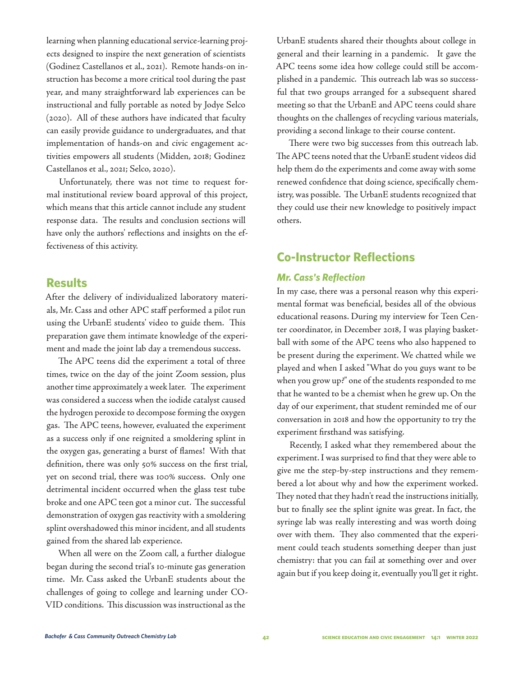learning when planning educational service-learning projects designed to inspire the next generation of scientists (Godinez Castellanos et al., 2021). Remote hands-on instruction has become a more critical tool during the past year, and many straightforward lab experiences can be instructional and fully portable as noted by Jodye Selco (2020). All of these authors have indicated that faculty can easily provide guidance to undergraduates, and that implementation of hands-on and civic engagement activities empowers all students (Midden, 2018; Godinez Castellanos et al., 2021; Selco, 2020).

Unfortunately, there was not time to request formal institutional review board approval of this project, which means that this article cannot include any student response data. The results and conclusion sections will have only the authors' reflections and insights on the effectiveness of this activity.

#### **Results**

After the delivery of individualized laboratory materials, Mr. Cass and other APC staff performed a pilot run using the UrbanE students' video to guide them. This preparation gave them intimate knowledge of the experiment and made the joint lab day a tremendous success.

The APC teens did the experiment a total of three times, twice on the day of the joint Zoom session, plus another time approximately a week later. The experiment was considered a success when the iodide catalyst caused the hydrogen peroxide to decompose forming the oxygen gas. The APC teens, however, evaluated the experiment as a success only if one reignited a smoldering splint in the oxygen gas, generating a burst of flames! With that definition, there was only 50% success on the first trial, yet on second trial, there was 100% success. Only one detrimental incident occurred when the glass test tube broke and one APC teen got a minor cut. The successful demonstration of oxygen gas reactivity with a smoldering splint overshadowed this minor incident, and all students gained from the shared lab experience.

When all were on the Zoom call, a further dialogue began during the second trial's 10-minute gas generation time. Mr. Cass asked the UrbanE students about the challenges of going to college and learning under CO-VID conditions. This discussion was instructional as the

UrbanE students shared their thoughts about college in general and their learning in a pandemic. It gave the APC teens some idea how college could still be accomplished in a pandemic. This outreach lab was so successful that two groups arranged for a subsequent shared meeting so that the UrbanE and APC teens could share thoughts on the challenges of recycling various materials, providing a second linkage to their course content.

There were two big successes from this outreach lab. The APC teens noted that the UrbanE student videos did help them do the experiments and come away with some renewed confidence that doing science, specifically chemistry, was possible. The UrbanE students recognized that they could use their new knowledge to positively impact others.

## **Co-Instructor Reflections**

#### *Mr. Cass's Reflection*

In my case, there was a personal reason why this experimental format was beneficial, besides all of the obvious educational reasons. During my interview for Teen Center coordinator, in December 2018, I was playing basketball with some of the APC teens who also happened to be present during the experiment. We chatted while we played and when I asked "What do you guys want to be when you grow up?" one of the students responded to me that he wanted to be a chemist when he grew up. On the day of our experiment, that student reminded me of our conversation in 2018 and how the opportunity to try the experiment firsthand was satisfying.

Recently, I asked what they remembered about the experiment. I was surprised to find that they were able to give me the step-by-step instructions and they remembered a lot about why and how the experiment worked. They noted that they hadn't read the instructions initially, but to finally see the splint ignite was great. In fact, the syringe lab was really interesting and was worth doing over with them. They also commented that the experiment could teach students something deeper than just chemistry: that you can fail at something over and over again but if you keep doing it, eventually you'll get it right.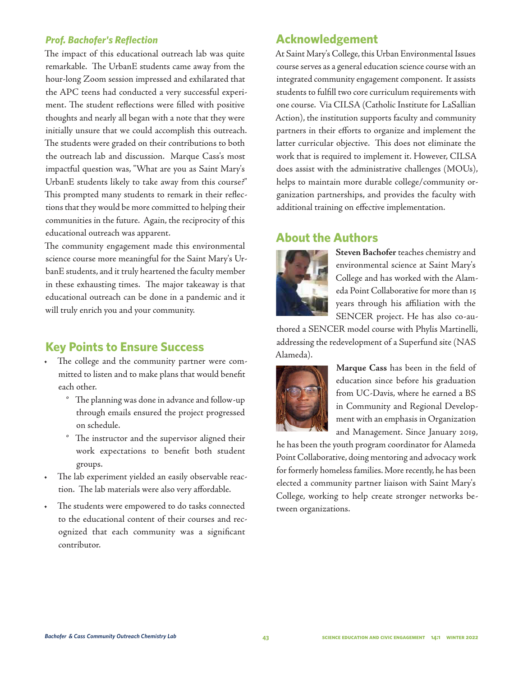#### *Prof. Bachofer's Reflection*

The impact of this educational outreach lab was quite remarkable. The UrbanE students came away from the hour-long Zoom session impressed and exhilarated that the APC teens had conducted a very successful experiment. The student reflections were filled with positive thoughts and nearly all began with a note that they were initially unsure that we could accomplish this outreach. The students were graded on their contributions to both the outreach lab and discussion. Marque Cass's most impactful question was, "What are you as Saint Mary's UrbanE students likely to take away from this course?" This prompted many students to remark in their reflections that they would be more committed to helping their communities in the future. Again, the reciprocity of this educational outreach was apparent.

The community engagement made this environmental science course more meaningful for the Saint Mary's UrbanE students, and it truly heartened the faculty member in these exhausting times. The major takeaway is that educational outreach can be done in a pandemic and it will truly enrich you and your community.

## **Key Points to Ensure Success**

- The college and the community partner were committed to listen and to make plans that would benefit each other.
	- ° The planning was done in advance and follow-up through emails ensured the project progressed on schedule.
	- ° The instructor and the supervisor aligned their work expectations to benefit both student groups.
- The lab experiment yielded an easily observable reaction. The lab materials were also very affordable.
- The students were empowered to do tasks connected to the educational content of their courses and recognized that each community was a significant contributor.

## **Acknowledgement**

At Saint Mary's College, this Urban Environmental Issues course serves as a general education science course with an integrated community engagement component. It assists students to fulfill two core curriculum requirements with one course. Via CILSA (Catholic Institute for LaSallian Action), the institution supports faculty and community partners in their efforts to organize and implement the latter curricular objective. This does not eliminate the work that is required to implement it. However, CILSA does assist with the administrative challenges (MOUs), helps to maintain more durable college/community organization partnerships, and provides the faculty with additional training on effective implementation.

## **About the Authors**



**Steven Bachofer** teaches chemistry and environmental science at Saint Mary's College and has worked with the Alameda Point Collaborative for more than 15 years through his affiliation with the SENCER project. He has also co-au-

thored a SENCER model course with Phylis Martinelli, addressing the redevelopment of a Superfund site (NAS Alameda).



**Marque Cass** has been in the field of education since before his graduation from UC-Davis, where he earned a BS in Community and Regional Development with an emphasis in Organization and Management. Since January 2019,

he has been the youth program coordinator for Alameda Point Collaborative, doing mentoring and advocacy work for formerly homeless families. More recently, he has been elected a community partner liaison with Saint Mary's College, working to help create stronger networks between organizations.